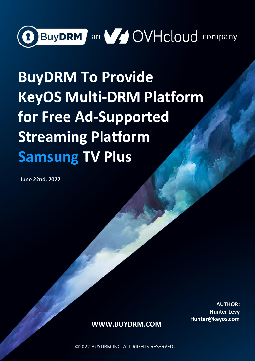

# **BuyDRM To Provide KeyOS Multi-DRM Platform for Free Ad-Supported Streaming Platform Samsung TV Plus**

**June 22nd, 2022**

Page 1 of 5 **AUTHOR: Hunter Levy Hunter@keyos.com**

### **[WWW.BUYDRM.COM](http://www.buydrm.com/)**

© 2022 BUYDRM INC. ALL RIGHTS RESERVED.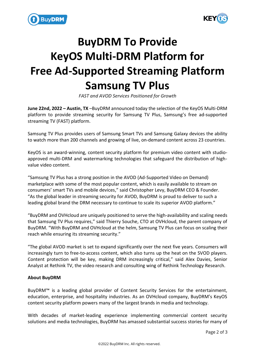



## **BuyDRM To Provide KeyOS Multi-DRM Platform for Free Ad-Supported Streaming Platform Samsung TV Plus**

*FAST and AVOD Services Positioned for Growth*

**June 22nd, 2022 – Austin, TX** –BuyDRM announced today the selection of the KeyOS Multi-DRM platform to provide streaming security for Samsung TV Plus, Samsung's free ad-supported streaming TV (FAST) platform.

Samsung TV Plus provides users of Samsung Smart TVs and Samsung Galaxy devices the ability to watch more than 200 channels and growing of live, on-demand content across 23 countries.

KeyOS is an award-winning, content security platform for premium video content with studioapproved multi-DRM and watermarking technologies that safeguard the distribution of highvalue video content.

"Samsung TV Plus has a strong position in the AVOD (Ad-Supported Video on Demand) marketplace with some of the most popular content, which is easily available to stream on consumers' smart TVs and mobile devices," said Christopher Levy, BuyDRM CEO & Founder. "As the global leader in streaming security for AVOD, BuyDRM is proud to deliver to such a leading global brand the DRM necessary to continue to scale its superior AVOD platform."

"BuyDRM and OVHcloud are uniquely positioned to serve the high-availability and scaling needs that Samsung TV Plus requires," said Thierry Souche, CTO at OVHcloud, the parent company of BuyDRM. "With BuyDRM and OVHcloud at the helm, Samsung TV Plus can focus on scaling their reach while ensuring its streaming security."

"The global AVOD market is set to expand significantly over the next five years. Consumers will increasingly turn to free-to-access content, which also turns up the heat on the SVOD players. Content protection will be key, making DRM increasingly critical," said Alex Davies, Senior Analyst at Rethink TV, the video research and consulting wing of Rethink Technology Research.

### **About BuyDRM**

BuyDRM™ is a leading global provider of Content Security Services for the entertainment, education, enterprise, and hospitality industries. As an OVHcloud company, BuyDRM's KeyOS content security platform powers many of the largest brands in media and technology.

With decades of market-leading experience implementing commercial content security solutions and media technologies, BuyDRM has amassed substantial success stories for many of